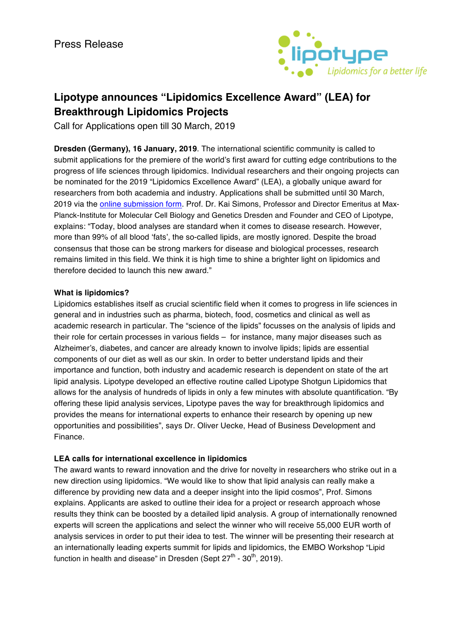

# **Lipotype announces "Lipidomics Excellence Award" (LEA) for Breakthrough Lipidomics Projects**

Call for Applications open till 30 March, 2019

**Dresden (Germany), 16 January, 2019**. The international scientific community is called to submit applications for the premiere of the world's first award for cutting edge contributions to the progress of life sciences through lipidomics. Individual researchers and their ongoing projects can be nominated for the 2019 "Lipidomics Excellence Award" (LEA), a globally unique award for researchers from both academia and industry. Applications shall be submitted until 30 March, 2019 via the **online submission form**. Prof. Dr. Kai Simons, Professor and Director Emeritus at Max-Planck-Institute for Molecular Cell Biology and Genetics Dresden and Founder and CEO of Lipotype, explains: "Today, blood analyses are standard when it comes to disease research. However, more than 99% of all blood 'fats', the so-called lipids, are mostly ignored. Despite the broad consensus that those can be strong markers for disease and biological processes, research remains limited in this field. We think it is high time to shine a brighter light on lipidomics and therefore decided to launch this new award."

## **What is lipidomics?**

Lipidomics establishes itself as crucial scientific field when it comes to progress in life sciences in general and in industries such as pharma, biotech, food, cosmetics and clinical as well as academic research in particular. The "science of the lipids" focusses on the analysis of lipids and their role for certain processes in various fields – for instance, many major diseases such as Alzheimer's, diabetes, and cancer are already known to involve lipids; lipids are essential components of our diet as well as our skin. In order to better understand lipids and their importance and function, both industry and academic research is dependent on state of the art lipid analysis. Lipotype developed an effective routine called Lipotype Shotgun Lipidomics that allows for the analysis of hundreds of lipids in only a few minutes with absolute quantification. "By offering these lipid analysis services, Lipotype paves the way for breakthrough lipidomics and provides the means for international experts to enhance their research by opening up new opportunities and possibilities", says Dr. Oliver Uecke, Head of Business Development and Finance.

## **LEA calls for international excellence in lipidomics**

The award wants to reward innovation and the drive for novelty in researchers who strike out in a new direction using lipidomics. "We would like to show that lipid analysis can really make a difference by providing new data and a deeper insight into the lipid cosmos", Prof. Simons explains. Applicants are asked to outline their idea for a project or research approach whose results they think can be boosted by a detailed lipid analysis. A group of internationally renowned experts will screen the applications and select the winner who will receive 55,000 EUR worth of analysis services in order to put their idea to test. The winner will be presenting their research at an internationally leading experts summit for lipids and lipidomics, the EMBO Workshop "Lipid function in health and disease" in Dresden (Sept  $27<sup>th</sup>$  -  $30<sup>th</sup>$ , 2019).